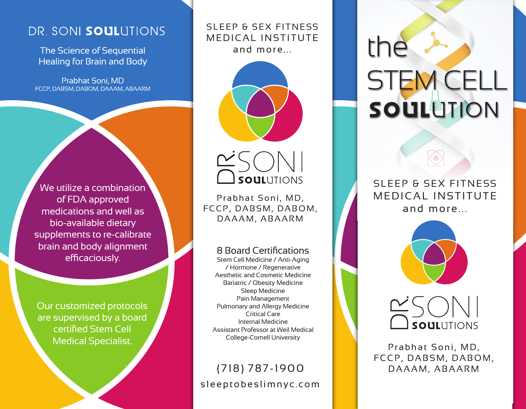## DR. SONI SOULUTIONS

The Science of Sequential Healing for Brain and Body

Prabhat Soni, MD FCCP, DABSM, DABOM, DAAAM, ABAARM

We utilize a combination of FDA approved medications and well as bio-available dietary supplements to re-calibrate brain and body alignment efficaciously.

Our customized protocols are supervised by a board certified Stem Cell Medical Specialist.

SLEEP & SEX FITNESS MEDICAL INSTITUTE and more...





Prabhat Soni, MD, FCCP, DABSM, DABOM,

8 Board Certifications

Stem Cell Medicine / Anti-Aging / Hormone / Regenerative Aesthetic and Cosmetic Medicine Bariatric / Obesity Medicine Sleep Medicine Pain Management Pulmonary and Allergy Medicine Critical Care Internal Medicine Assistant Professor at Weil Medical College-Cornell University

## sleeptobeslimnyc.com (718) 787-1900

the STEM CELL **SOUL LITION** 

SLEEP & SEX FITNESS MEDICAL INSTITUTE and more...





Prabhat Soni, MD, FCCP, DABSM, DABOM,